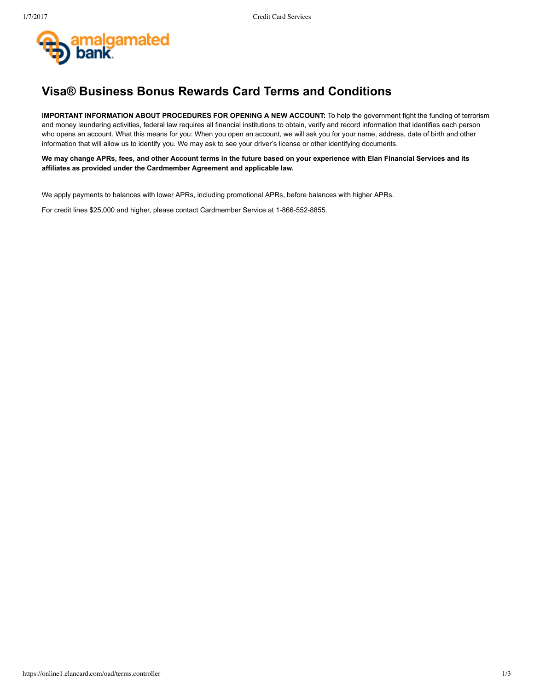

# **Visa® Business Bonus Rewards Card Terms and Conditions**

**IMPORTANT INFORMATION ABOUT PROCEDURES FOR OPENING A NEW ACCOUNT:** To help the government fight the funding of terrorism and money laundering activities, federal law requires all financial institutions to obtain, verify and record information that identifies each person who opens an account. What this means for you: When you open an account, we will ask you for your name, address, date of birth and other information that will allow us to identify you. We may ask to see your driver's license or other identifying documents.

**We may change APRs, fees, and other Account terms in the future based on your experience with Elan Financial Services and its affiliates as provided under the Cardmember Agreement and applicable law.**

We apply payments to balances with lower APRs, including promotional APRs, before balances with higher APRs.

For credit lines \$25,000 and higher, please contact Cardmember Service at 1-866-552-8855.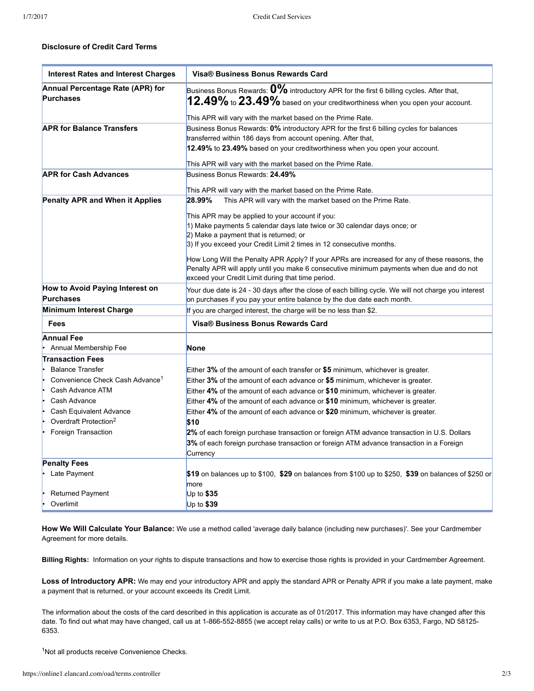## **Disclosure of Credit Card Terms**

| <b>Interest Rates and Interest Charges</b>  | <b>Visa® Business Bonus Rewards Card</b>                                                                                                      |
|---------------------------------------------|-----------------------------------------------------------------------------------------------------------------------------------------------|
| Annual Percentage Rate (APR) for            | Business Bonus Rewards: $0\%$ introductory APR for the first 6 billing cycles. After that,                                                    |
| <b>Purchases</b>                            | $12.49\%$ to $23.49\%$ based on your creditworthiness when you open your account.                                                             |
|                                             | This APR will vary with the market based on the Prime Rate.                                                                                   |
| <b>APR for Balance Transfers</b>            | Business Bonus Rewards: 0% introductory APR for the first 6 billing cycles for balances                                                       |
|                                             | transferred within 186 days from account opening. After that,                                                                                 |
|                                             | 12.49% to 23.49% based on your creditworthiness when you open your account.                                                                   |
|                                             | This APR will vary with the market based on the Prime Rate.                                                                                   |
| <b>APR for Cash Advances</b>                | Business Bonus Rewards: 24.49%                                                                                                                |
|                                             | This APR will vary with the market based on the Prime Rate.                                                                                   |
| Penalty APR and When it Applies             | 28.99%<br>This APR will vary with the market based on the Prime Rate.                                                                         |
|                                             |                                                                                                                                               |
|                                             | This APR may be applied to your account if you:                                                                                               |
|                                             | 1) Make payments 5 calendar days late twice or 30 calendar days once; or<br>2) Make a payment that is returned; or                            |
|                                             | 3) If you exceed your Credit Limit 2 times in 12 consecutive months.                                                                          |
|                                             |                                                                                                                                               |
|                                             | How Long Will the Penalty APR Apply? If your APRs are increased for any of these reasons, the                                                 |
|                                             | Penalty APR will apply until you make 6 consecutive minimum payments when due and do not<br>exceed your Credit Limit during that time period. |
| How to Avoid Paying Interest on             | Your due date is 24 - 30 days after the close of each billing cycle. We will not charge you interest                                          |
| <b>Purchases</b>                            | on purchases if you pay your entire balance by the due date each month.                                                                       |
| Minimum Interest Charge                     | If you are charged interest, the charge will be no less than \$2.                                                                             |
| Fees                                        | <b>Visa® Business Bonus Rewards Card</b>                                                                                                      |
| <b>Annual Fee</b>                           |                                                                                                                                               |
| Annual Membership Fee                       | None                                                                                                                                          |
| <b>Transaction Fees</b>                     |                                                                                                                                               |
| <b>Balance Transfer</b>                     | Either $3\%$ of the amount of each transfer or \$5 minimum, whichever is greater.                                                             |
| Convenience Check Cash Advance <sup>1</sup> | Either $3\%$ of the amount of each advance or \$5 minimum, whichever is greater.                                                              |
| Cash Advance ATM                            | Either 4% of the amount of each advance or \$10 minimum, whichever is greater.                                                                |
| Cash Advance                                | Either 4% of the amount of each advance or \$10 minimum, whichever is greater.                                                                |
| Cash Equivalent Advance                     | Either 4% of the amount of each advance or \$20 minimum, whichever is greater.                                                                |
| Overdraft Protection <sup>2</sup>           | \$10                                                                                                                                          |
| Foreign Transaction                         | 2% of each foreign purchase transaction or foreign ATM advance transaction in U.S. Dollars                                                    |
|                                             | 3% of each foreign purchase transaction or foreign ATM advance transaction in a Foreign<br>Currency                                           |
| <b>Penalty Fees</b>                         |                                                                                                                                               |
| Late Payment                                | \$19 on balances up to \$100, \$29 on balances from \$100 up to \$250, \$39 on balances of \$250 or                                           |
|                                             | more                                                                                                                                          |
| Returned Payment                            | Up to $$35$                                                                                                                                   |
| Overlimit                                   | Up to \$39                                                                                                                                    |

**How We Will Calculate Your Balance:** We use a method called 'average daily balance (including new purchases)'. See your Cardmember Agreement for more details.

**Billing Rights:** Information on your rights to dispute transactions and how to exercise those rights is provided in your Cardmember Agreement.

Loss of Introductory APR: We may end your introductory APR and apply the standard APR or Penalty APR if you make a late payment, make a payment that is returned, or your account exceeds its Credit Limit.

The information about the costs of the card described in this application is accurate as of 01/2017. This information may have changed after this date. To find out what may have changed, call us at 1-866-552-8855 (we accept relay calls) or write to us at P.O. Box 6353, Fargo, ND 58125-6353.

<sup>1</sup>Not all products receive Convenience Checks.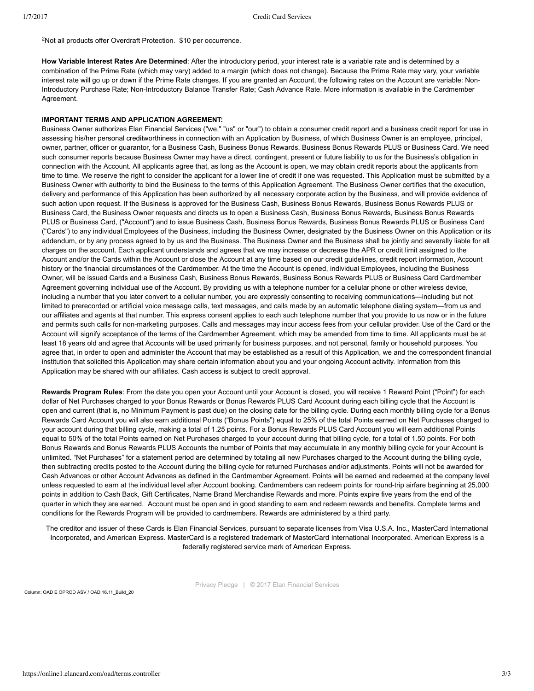<sup>2</sup>Not all products offer Overdraft Protection. \$10 per occurrence.

**How Variable Interest Rates Are Determined**: After the introductory period, your interest rate is a variable rate and is determined by a combination of the Prime Rate (which may vary) added to a margin (which does not change). Because the Prime Rate may vary, your variable interest rate will go up or down if the Prime Rate changes. If you are granted an Account, the following rates on the Account are variable: Non-Introductory Purchase Rate; Non-Introductory Balance Transfer Rate; Cash Advance Rate. More information is available in the Cardmember Agreement.

### **IMPORTANT TERMS AND APPLICATION AGREEMENT:**

Business Owner authorizes Elan Financial Services ("we," "us" or "our") to obtain a consumer credit report and a business credit report for use in assessing his/her personal creditworthiness in connection with an Application by Business, of which Business Owner is an employee, principal, owner, partner, officer or guarantor, for a Business Cash, Business Bonus Rewards, Business Bonus Rewards PLUS or Business Card. We need such consumer reports because Business Owner may have a direct, contingent, present or future liability to us for the Business's obligation in connection with the Account. All applicants agree that, as long as the Account is open, we may obtain credit reports about the applicants from time to time. We reserve the right to consider the applicant for a lower line of credit if one was requested. This Application must be submitted by a Business Owner with authority to bind the Business to the terms of this Application Agreement. The Business Owner certifies that the execution, delivery and performance of this Application has been authorized by all necessary corporate action by the Business, and will provide evidence of such action upon request. If the Business is approved for the Business Cash, Business Bonus Rewards, Business Bonus Rewards PLUS or Business Card, the Business Owner requests and directs us to open a Business Cash, Business Bonus Rewards, Business Bonus Rewards PLUS or Business Card, ("Account") and to issue Business Cash, Business Bonus Rewards, Business Bonus Rewards PLUS or Business Card ("Cards") to any individual Employees of the Business, including the Business Owner, designated by the Business Owner on this Application or its addendum, or by any process agreed to by us and the Business. The Business Owner and the Business shall be jointly and severally liable for all charges on the account. Each applicant understands and agrees that we may increase or decrease the APR or credit limit assigned to the Account and/or the Cards within the Account or close the Account at any time based on our credit guidelines, credit report information, Account history or the financial circumstances of the Cardmember. At the time the Account is opened, individual Employees, including the Business Owner, will be issued Cards and a Business Cash, Business Bonus Rewards, Business Bonus Rewards PLUS or Business Card Cardmember Agreement governing individual use of the Account. By providing us with a telephone number for a cellular phone or other wireless device, including a number that you later convert to a cellular number, you are expressly consenting to receiving communications—including but not limited to prerecorded or artificial voice message calls, text messages, and calls made by an automatic telephone dialing system—from us and our affiliates and agents at that number. This express consent applies to each such telephone number that you provide to us now or in the future and permits such calls for non-marketing purposes. Calls and messages may incur access fees from your cellular provider. Use of the Card or the Account will signify acceptance of the terms of the Cardmember Agreement, which may be amended from time to time. All applicants must be at least 18 years old and agree that Accounts will be used primarily for business purposes, and not personal, family or household purposes. You agree that, in order to open and administer the Account that may be established as a result of this Application, we and the correspondent financial institution that solicited this Application may share certain information about you and your ongoing Account activity. Information from this Application may be shared with our affiliates. Cash access is subject to credit approval.

**Rewards Program Rules**: From the date you open your Account until your Account is closed, you will receive 1 Reward Point ("Point") for each dollar of Net Purchases charged to your Bonus Rewards or Bonus Rewards PLUS Card Account during each billing cycle that the Account is open and current (that is, no Minimum Payment is past due) on the closing date for the billing cycle. During each monthly billing cycle for a Bonus Rewards Card Account you will also earn additional Points ("Bonus Points") equal to 25% of the total Points earned on Net Purchases charged to your account during that billing cycle, making a total of 1.25 points. For a Bonus Rewards PLUS Card Account you will earn additional Points equal to 50% of the total Points earned on Net Purchases charged to your account during that billing cycle, for a total of 1.50 points. For both Bonus Rewards and Bonus Rewards PLUS Accounts the number of Points that may accumulate in any monthly billing cycle for your Account is unlimited. "Net Purchases" for a statement period are determined by totaling all new Purchases charged to the Account during the billing cycle, then subtracting credits posted to the Account during the billing cycle for returned Purchases and/or adjustments. Points will not be awarded for Cash Advances or other Account Advances as defined in the Cardmember Agreement. Points will be earned and redeemed at the company level unless requested to earn at the individual level after Account booking. Cardmembers can redeem points for round-trip airfare beginning at 25,000 points in addition to Cash Back, Gift Certificates, Name Brand Merchandise Rewards and more. Points expire five years from the end of the quarter in which they are earned. Account must be open and in good standing to earn and redeem rewards and benefits. Complete terms and conditions for the Rewards Program will be provided to cardmembers. Rewards are administered by a third party.

The creditor and issuer of these Cards is Elan Financial Services, pursuant to separate licenses from Visa U.S.A. Inc., MasterCard International Incorporated, and American Express. MasterCard is a registered trademark of MasterCard International Incorporated. American Express is a federally registered service mark of American Express.

Privacy Pledge | © 2017 Elan Financial Services

Column: OAD E OPROD ASV / OAD.16.11\_Build\_20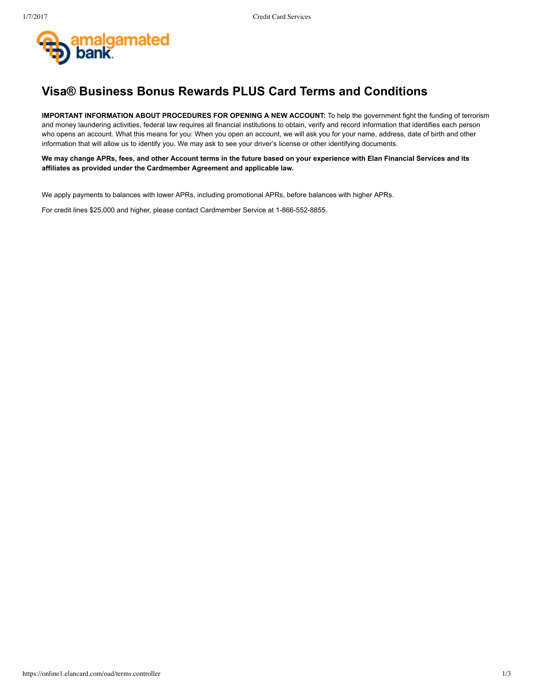

## **Visa® Business Bonus Rewards PLUS Card Terms and Conditions**

**IMPORTANT INFORMATION ABOUT PROCEDURES FOR OPENING A NEW ACCOUNT:** To help the government fight the funding of terrorism and money laundering activities, federal law requires all financial institutions to obtain, verify and record information that identifies each person who opens an account. What this means for you: When you open an account, we will ask you for your name, address, date of birth and other information that will allow us to identify you. We may ask to see your driver's license or other identifying documents.

**We may change APRs, fees, and other Account terms in the future based on your experience with Elan Financial Services and its affiliates as provided under the Cardmember Agreement and applicable law.**

We apply payments to balances with lower APRs, including promotional APRs, before balances with higher APRs.

For credit lines \$25,000 and higher, please contact Cardmember Service at 1-866-552-8855.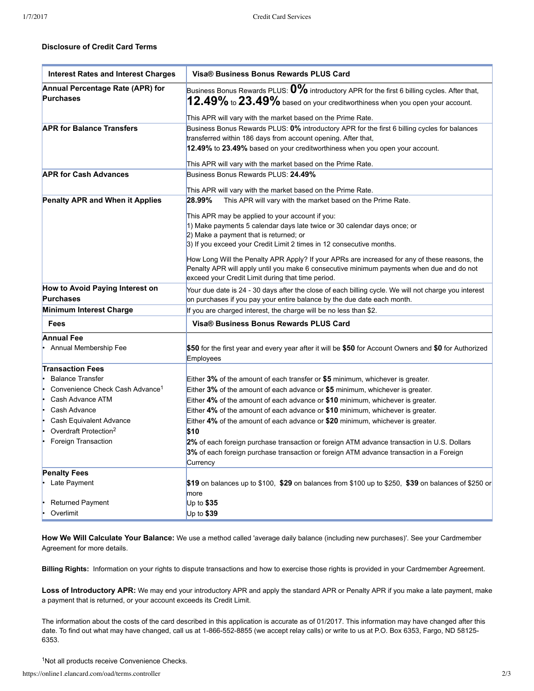## **Disclosure of Credit Card Terms**

| <b>Interest Rates and Interest Charges</b>           | Visa® Business Bonus Rewards PLUS Card                                                                                                                                               |
|------------------------------------------------------|--------------------------------------------------------------------------------------------------------------------------------------------------------------------------------------|
| Annual Percentage Rate (APR) for<br><b>Purchases</b> | Business Bonus Rewards PLUS: $0\%$ introductory APR for the first 6 billing cycles. After that,<br>$12.49\%$ to $23.49\%$ based on your creditworthiness when you open your account. |
|                                                      | This APR will vary with the market based on the Prime Rate.                                                                                                                          |
| <b>APR for Balance Transfers</b>                     | Business Bonus Rewards PLUS: 0% introductory APR for the first 6 billing cycles for balances                                                                                         |
|                                                      | transferred within 186 days from account opening. After that,                                                                                                                        |
|                                                      | 12.49% to 23.49% based on your creditworthiness when you open your account.                                                                                                          |
|                                                      | This APR will vary with the market based on the Prime Rate.                                                                                                                          |
| <b>APR for Cash Advances</b>                         | Business Bonus Rewards PLUS: 24.49%                                                                                                                                                  |
|                                                      |                                                                                                                                                                                      |
|                                                      | This APR will vary with the market based on the Prime Rate.<br>28.99%                                                                                                                |
| <b>Penalty APR and When it Applies</b>               | This APR will vary with the market based on the Prime Rate.                                                                                                                          |
|                                                      | This APR may be applied to your account if you:                                                                                                                                      |
|                                                      | 1) Make payments 5 calendar days late twice or 30 calendar days once; or                                                                                                             |
|                                                      | 2) Make a payment that is returned; or                                                                                                                                               |
|                                                      | 3) If you exceed your Credit Limit 2 times in 12 consecutive months.                                                                                                                 |
|                                                      | How Long Will the Penalty APR Apply? If your APRs are increased for any of these reasons, the                                                                                        |
|                                                      | Penalty APR will apply until you make 6 consecutive minimum payments when due and do not                                                                                             |
|                                                      | exceed your Credit Limit during that time period.                                                                                                                                    |
| How to Avoid Paying Interest on                      | Your due date is 24 - 30 days after the close of each billing cycle. We will not charge you interest                                                                                 |
| <b>Purchases</b>                                     | on purchases if you pay your entire balance by the due date each month.                                                                                                              |
| Minimum Interest Charge                              | If you are charged interest, the charge will be no less than \$2.                                                                                                                    |
| Fees                                                 | Visa® Business Bonus Rewards PLUS Card                                                                                                                                               |
| <b>Annual Fee</b>                                    |                                                                                                                                                                                      |
| Annual Membership Fee                                | \$50 for the first year and every year after it will be \$50 for Account Owners and \$0 for Authorized<br>Employees                                                                  |
| <b>Transaction Fees</b>                              |                                                                                                                                                                                      |
| <b>Balance Transfer</b>                              | Either 3% of the amount of each transfer or \$5 minimum, whichever is greater.                                                                                                       |
| Convenience Check Cash Advance <sup>1</sup>          | Either $3\%$ of the amount of each advance or $$5$ minimum, whichever is greater.                                                                                                    |
| Cash Advance ATM                                     | Either 4% of the amount of each advance or \$10 minimum, whichever is greater.                                                                                                       |
| Cash Advance                                         | Either 4% of the amount of each advance or \$10 minimum, whichever is greater.                                                                                                       |
| Cash Equivalent Advance                              | Either 4% of the amount of each advance or \$20 minimum, whichever is greater.                                                                                                       |
| Overdraft Protection <sup>2</sup>                    | \$10                                                                                                                                                                                 |
| Foreign Transaction                                  | 2% of each foreign purchase transaction or foreign ATM advance transaction in U.S. Dollars                                                                                           |
|                                                      | 3% of each foreign purchase transaction or foreign ATM advance transaction in a Foreign                                                                                              |
|                                                      | Currency                                                                                                                                                                             |
| <b>Penalty Fees</b><br>Late Payment                  |                                                                                                                                                                                      |
|                                                      | \$19 on balances up to \$100, \$29 on balances from \$100 up to \$250, \$39 on balances of \$250 or<br>more                                                                          |
| <b>Returned Payment</b>                              | Up to $$35$                                                                                                                                                                          |
| Overlimit                                            | Up to \$39                                                                                                                                                                           |
|                                                      |                                                                                                                                                                                      |

**How We Will Calculate Your Balance:** We use a method called 'average daily balance (including new purchases)'. See your Cardmember Agreement for more details.

**Billing Rights:** Information on your rights to dispute transactions and how to exercise those rights is provided in your Cardmember Agreement.

Loss of Introductory APR: We may end your introductory APR and apply the standard APR or Penalty APR if you make a late payment, make a payment that is returned, or your account exceeds its Credit Limit.

The information about the costs of the card described in this application is accurate as of 01/2017. This information may have changed after this date. To find out what may have changed, call us at 1-866-552-8855 (we accept relay calls) or write to us at P.O. Box 6353, Fargo, ND 58125-6353.

<sup>1</sup>Not all products receive Convenience Checks.